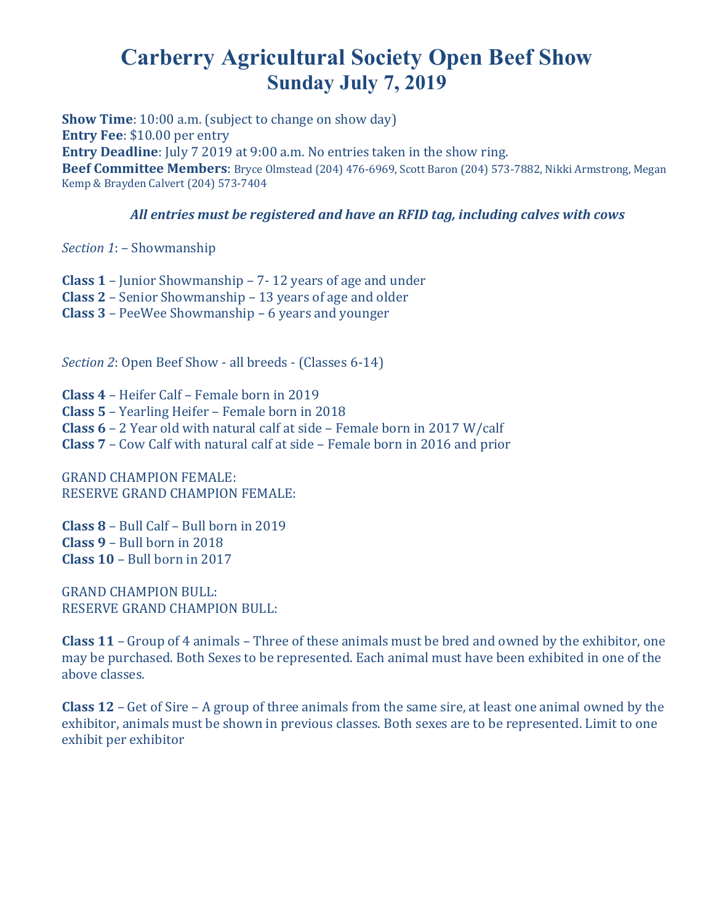### **Carberry Agricultural Society Open Beef Show Sunday July 7, 2019**

**Show Time**: 10:00 a.m. (subject to change on show day) **Entry Fee**: \$10.00 per entry **Entry Deadline**: July 7 2019 at 9:00 a.m. No entries taken in the show ring. **Beef Committee Members**: Bryce Olmstead (204) 476-6969, Scott Baron (204) 573-7882, Nikki Armstrong, Megan Kemp & Brayden Calvert (204) 573-7404

#### *All entries must be registered and have an RFID tag, including calves with cows*

*Section 1*: – Showmanship

**Class 1** – Junior Showmanship – 7- 12 years of age and under **Class 2** – Senior Showmanship – 13 years of age and older **Class 3** – PeeWee Showmanship – 6 years and younger

*Section 2*: Open Beef Show - all breeds - (Classes 6-14)

**Class 4** – Heifer Calf – Female born in 2019 **Class 5** – Yearling Heifer – Female born in 2018 **Class 6** – 2 Year old with natural calf at side – Female born in 2017 W/calf **Class 7** – Cow Calf with natural calf at side – Female born in 2016 and prior

GRAND CHAMPION FEMALE: RESERVE GRAND CHAMPION FEMALE:

**Class 8** – Bull Calf – Bull born in 2019 **Class 9** – Bull born in 2018 **Class 10** – Bull born in 2017

GRAND CHAMPION BULL: RESERVE GRAND CHAMPION BULL:

**Class 11** – Group of 4 animals – Three of these animals must be bred and owned by the exhibitor, one may be purchased. Both Sexes to be represented. Each animal must have been exhibited in one of the above classes.

**Class 12** – Get of Sire – A group of three animals from the same sire, at least one animal owned by the exhibitor, animals must be shown in previous classes. Both sexes are to be represented. Limit to one exhibit per exhibitor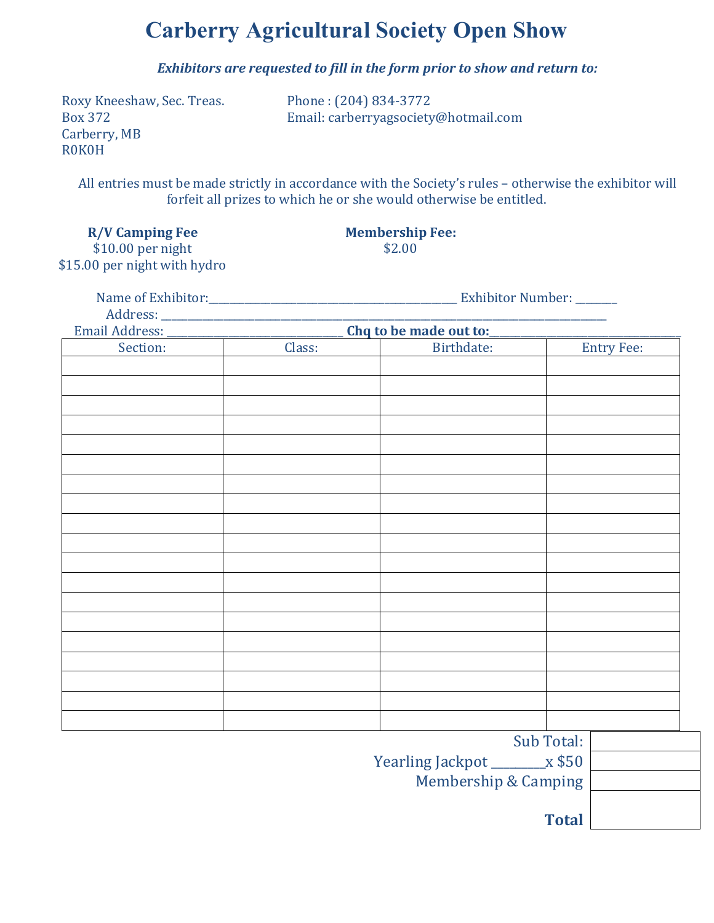### **Carberry Agricultural Society Open Show**

*Exhibitors are requested to fill in the form prior to show and return to:*

Roxy Kneeshaw, Sec. Treas. Phone : (204) 834-3772 Carberry, MB R0K0H

Box 372 Email: carberryagsociety@hotmail.com

All entries must be made strictly in accordance with the Society's rules – otherwise the exhibitor will forfeit all prizes to which he or she would otherwise be entitled.

**R/V Camping Fee Membership Fee:**

\$10.00 per night \$2.00 \$15.00 per night with hydro

Name of Exhibitor:\_\_\_\_\_\_\_\_\_\_\_\_\_\_\_\_\_\_\_\_\_\_\_\_\_\_\_\_\_\_\_\_\_\_\_\_\_\_\_\_\_\_\_\_\_\_\_\_ Exhibitor Number: \_\_\_\_\_\_\_\_  $Address: \_\_\_\_\_\_\_$ Cha to be made out to:

| Eilian Audiess. | Ling to be made out to. |                                                                                  |                                   |
|-----------------|-------------------------|----------------------------------------------------------------------------------|-----------------------------------|
| Section:        | Class:                  | Birthdate:                                                                       | <b>Entry Fee:</b>                 |
|                 |                         |                                                                                  |                                   |
|                 |                         |                                                                                  |                                   |
|                 |                         |                                                                                  |                                   |
|                 |                         |                                                                                  |                                   |
|                 |                         |                                                                                  |                                   |
|                 |                         |                                                                                  |                                   |
|                 |                         |                                                                                  |                                   |
|                 |                         |                                                                                  |                                   |
|                 |                         |                                                                                  |                                   |
|                 |                         |                                                                                  |                                   |
|                 |                         |                                                                                  |                                   |
|                 |                         |                                                                                  |                                   |
|                 |                         |                                                                                  |                                   |
|                 |                         |                                                                                  |                                   |
|                 |                         |                                                                                  |                                   |
|                 |                         |                                                                                  |                                   |
|                 |                         |                                                                                  |                                   |
|                 |                         |                                                                                  |                                   |
|                 |                         |                                                                                  |                                   |
|                 |                         |                                                                                  |                                   |
|                 |                         |                                                                                  |                                   |
|                 |                         |                                                                                  |                                   |
|                 |                         |                                                                                  |                                   |
|                 |                         |                                                                                  |                                   |
|                 |                         |                                                                                  | Sub Total:                        |
|                 |                         | $\mathbf{V}$ and $\mathbf{V}$ are $\mathbf{V}$ and $\mathbf{V}$ and $\mathbf{V}$ | $ \uparrow$ $\uparrow$ $\uparrow$ |

Yearling Jackpot \_\_\_\_\_\_\_\_\_x \$50 Membership & Camping

**Total**